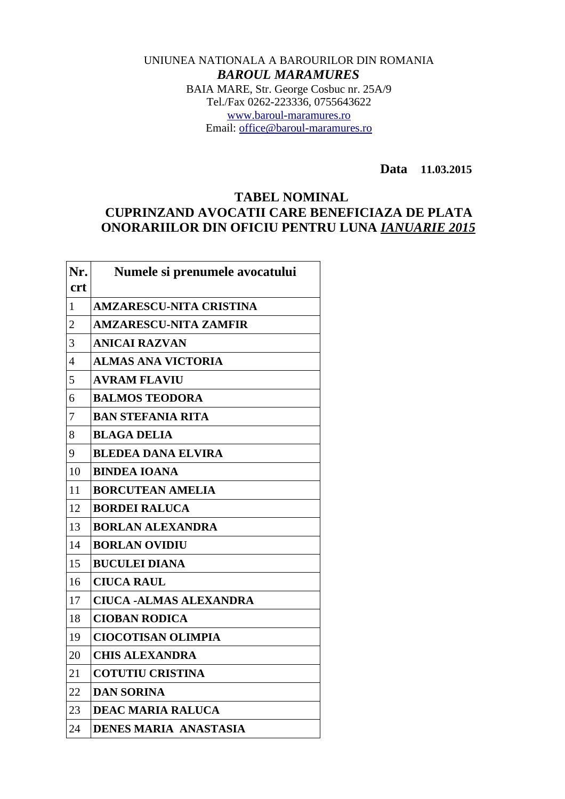## UNIUNEA NATIONALA A BAROURILOR DIN ROMANIA *BAROUL MARAMURES* BAIA MARE, Str. George Cosbuc nr. 25A/9 Tel./Fax 0262-223336, 0755643622 [www.baroul-maramures.ro](http://www.baroul-maramures.ro/) Email: [office@baroul-maramures.ro](mailto:office@baroul-maramures.ro)

 **Data 11.03.2015**

## **TABEL NOMINAL CUPRINZAND AVOCATII CARE BENEFICIAZA DE PLATA ONORARIILOR DIN OFICIU PENTRU LUNA** *IANUARIE 2015*

| Nr.            | Numele si prenumele avocatului |
|----------------|--------------------------------|
| <b>crt</b>     |                                |
| $\mathbf{1}$   | <b>AMZARESCU-NITA CRISTINA</b> |
| $\overline{2}$ | <b>AMZARESCU-NITA ZAMFIR</b>   |
| 3              | <b>ANICAI RAZVAN</b>           |
| 4              | <b>ALMAS ANA VICTORIA</b>      |
| 5              | <b>AVRAM FLAVIU</b>            |
| 6              | <b>BALMOS TEODORA</b>          |
| 7              | <b>BAN STEFANIA RITA</b>       |
| 8              | <b>BLAGA DELIA</b>             |
| 9              | <b>BLEDEA DANA ELVIRA</b>      |
| 10             | <b>BINDEA IOANA</b>            |
| 11             | <b>BORCUTEAN AMELIA</b>        |
| 12             | <b>BORDEI RALUCA</b>           |
| 13             | <b>BORLAN ALEXANDRA</b>        |
| 14             | <b>BORLAN OVIDIU</b>           |
| 15             | <b>BUCULEI DIANA</b>           |
| 16             | <b>CIUCA RAUL</b>              |
| 17             | <b>CIUCA -ALMAS ALEXANDRA</b>  |
| 18             | <b>CIOBAN RODICA</b>           |
| 19             | <b>CIOCOTISAN OLIMPIA</b>      |
| 20             | <b>CHIS ALEXANDRA</b>          |
| 21             | <b>COTUTIU CRISTINA</b>        |
| 22             | <b>DAN SORINA</b>              |
| 23             | <b>DEAC MARIA RALUCA</b>       |
| 24             | <b>DENES MARIA ANASTASIA</b>   |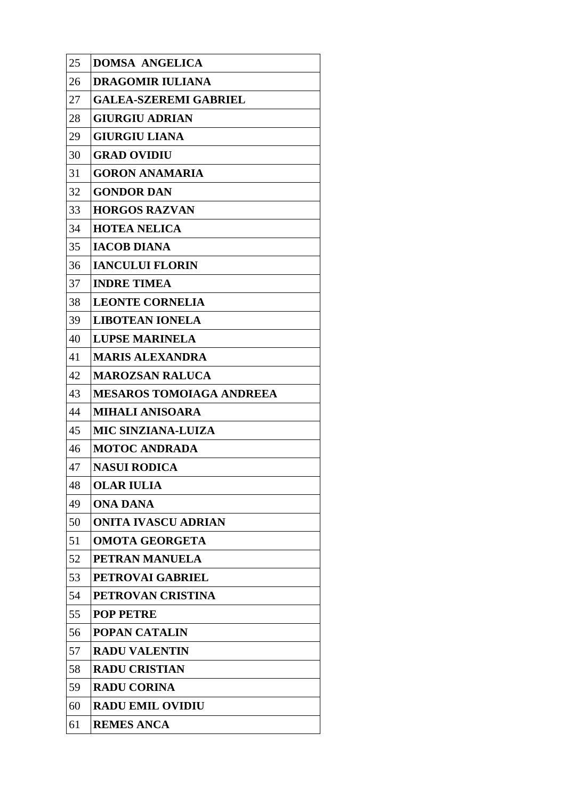| 25 | <b>DOMSA ANGELICA</b>           |
|----|---------------------------------|
| 26 | <b>DRAGOMIR IULIANA</b>         |
| 27 | <b>GALEA-SZEREMI GABRIEL</b>    |
| 28 | <b>GIURGIU ADRIAN</b>           |
| 29 | <b>GIURGIU LIANA</b>            |
| 30 | <b>GRAD OVIDIU</b>              |
| 31 | <b>GORON ANAMARIA</b>           |
| 32 | <b>GONDOR DAN</b>               |
| 33 | <b>HORGOS RAZVAN</b>            |
| 34 | <b>HOTEA NELICA</b>             |
| 35 | <b>IACOB DIANA</b>              |
| 36 | <b>IANCULUI FLORIN</b>          |
| 37 | <b>INDRE TIMEA</b>              |
| 38 | <b>LEONTE CORNELIA</b>          |
| 39 | <b>LIBOTEAN IONELA</b>          |
| 40 | <b>LUPSE MARINELA</b>           |
| 41 | <b>MARIS ALEXANDRA</b>          |
| 42 | <b>MAROZSAN RALUCA</b>          |
| 43 | <b>MESAROS TOMOIAGA ANDREEA</b> |
| 44 | <b>MIHALI ANISOARA</b>          |
| 45 | <b>MIC SINZIANA-LUIZA</b>       |
| 46 | <b>MOTOC ANDRADA</b>            |
| 47 | <b>NASUI RODICA</b>             |
| 48 | <b>OLAR IULIA</b>               |
| 49 | <b>ONA DANA</b>                 |
| 50 | <b>ONITA IVASCU ADRIAN</b>      |
| 51 | <b>OMOTA GEORGETA</b>           |
| 52 | PETRAN MANUELA                  |
| 53 | <b>PETROVAI GABRIEL</b>         |
| 54 | PETROVAN CRISTINA               |
| 55 | <b>POP PETRE</b>                |
| 56 | <b>POPAN CATALIN</b>            |
| 57 | <b>RADU VALENTIN</b>            |
| 58 | <b>RADU CRISTIAN</b>            |
| 59 | <b>RADU CORINA</b>              |
| 60 | <b>RADU EMIL OVIDIU</b>         |
| 61 | <b>REMES ANCA</b>               |